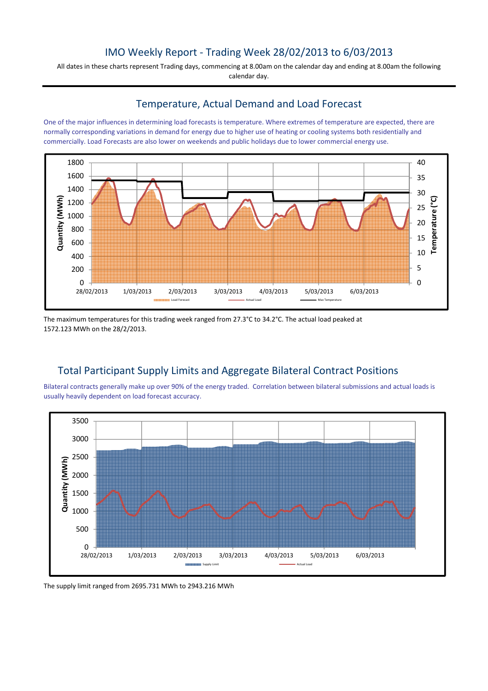## IMO Weekly Report - Trading Week 28/02/2013 to 6/03/2013

All dates in these charts represent Trading days, commencing at 8.00am on the calendar day and ending at 8.00am the following calendar day.

### Temperature, Actual Demand and Load Forecast

One of the major influences in determining load forecasts is temperature. Where extremes of temperature are expected, there are normally corresponding variations in demand for energy due to higher use of heating or cooling systems both residentially and commercially. Load Forecasts are also lower on weekends and public holidays due to lower commercial energy use.



The maximum temperatures for this trading week ranged from 27.3°C to 34.2°C. The actual load peaked at 1572.123 MWh on the 28/2/2013.

# Total Participant Supply Limits and Aggregate Bilateral Contract Positions

Bilateral contracts generally make up over 90% of the energy traded. Correlation between bilateral submissions and actual loads is usually heavily dependent on load forecast accuracy.



The supply limit ranged from 2695.731 MWh to 2943.216 MWh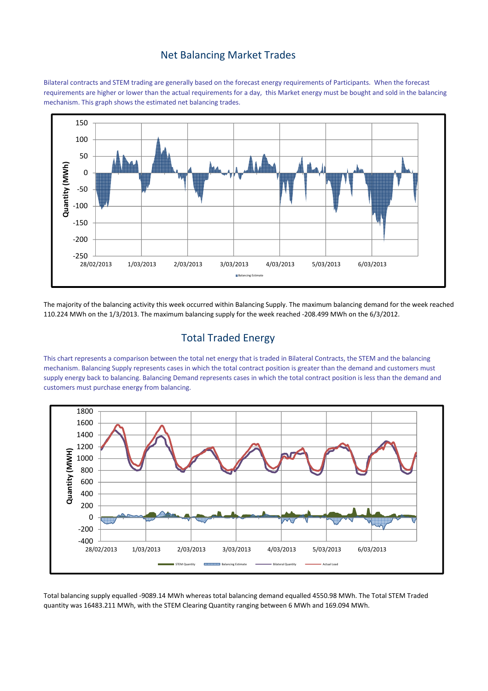#### Net Balancing Market Trades

Bilateral contracts and STEM trading are generally based on the forecast energy requirements of Participants. When the forecast requirements are higher or lower than the actual requirements for a day, this Market energy must be bought and sold in the balancing mechanism. This graph shows the estimated net balancing trades.



The majority of the balancing activity this week occurred within Balancing Supply. The maximum balancing demand for the week reached 110.224 MWh on the 1/3/2013. The maximum balancing supply for the week reached -208.499 MWh on the 6/3/2012.

## Total Traded Energy

This chart represents a comparison between the total net energy that is traded in Bilateral Contracts, the STEM and the balancing mechanism. Balancing Supply represents cases in which the total contract position is greater than the demand and customers must supply energy back to balancing. Balancing Demand represents cases in which the total contract position is less than the demand and customers must purchase energy from balancing.



Total balancing supply equalled -9089.14 MWh whereas total balancing demand equalled 4550.98 MWh. The Total STEM Traded quantity was 16483.211 MWh, with the STEM Clearing Quantity ranging between 6 MWh and 169.094 MWh.